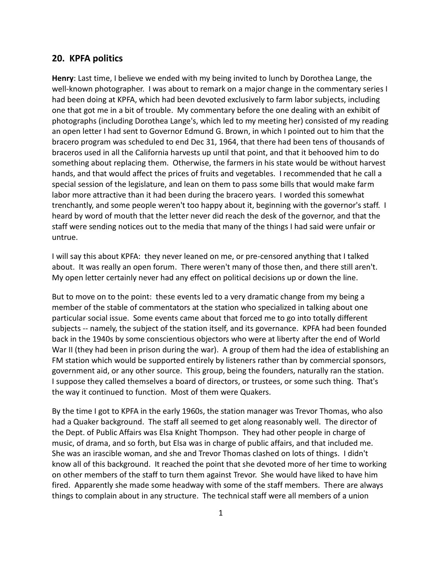## **20. KPFA politics**

**Henry**: Last time, I believe we ended with my being invited to lunch by Dorothea Lange, the well-known photographer. I was about to remark on a major change in the commentary series I had been doing at KPFA, which had been devoted exclusively to farm labor subjects, including one that got me in a bit of trouble. My commentary before the one dealing with an exhibit of photographs (including Dorothea Lange's, which led to my meeting her) consisted of my reading an open letter I had sent to Governor Edmund G. Brown, in which I pointed out to him that the bracero program was scheduled to end Dec 31, 1964, that there had been tens of thousands of braceros used in all the California harvests up until that point, and that it behooved him to do something about replacing them. Otherwise, the farmers in his state would be without harvest hands, and that would affect the prices of fruits and vegetables. I recommended that he call a special session of the legislature, and lean on them to pass some bills that would make farm labor more attractive than it had been during the bracero years. I worded this somewhat trenchantly, and some people weren't too happy about it, beginning with the governor's staff. I heard by word of mouth that the letter never did reach the desk of the governor, and that the staff were sending notices out to the media that many of the things I had said were unfair or untrue.

I will say this about KPFA: they never leaned on me, or pre-censored anything that I talked about. It was really an open forum. There weren't many of those then, and there still aren't. My open letter certainly never had any effect on political decisions up or down the line.

But to move on to the point: these events led to a very dramatic change from my being a member of the stable of commentators at the station who specialized in talking about one particular social issue. Some events came about that forced me to go into totally different subjects -- namely, the subject of the station itself, and its governance. KPFA had been founded back in the 1940s by some conscientious objectors who were at liberty after the end of World War II (they had been in prison during the war). A group of them had the idea of establishing an FM station which would be supported entirely by listeners rather than by commercial sponsors, government aid, or any other source. This group, being the founders, naturally ran the station. I suppose they called themselves a board of directors, or trustees, or some such thing. That's the way it continued to function. Most of them were Quakers.

By the time I got to KPFA in the early 1960s, the station manager was Trevor Thomas, who also had a Quaker background. The staff all seemed to get along reasonably well. The director of the Dept. of Public Affairs was Elsa Knight Thompson. They had other people in charge of music, of drama, and so forth, but Elsa was in charge of public affairs, and that included me. She was an irascible woman, and she and Trevor Thomas clashed on lots of things. I didn't know all of this background. It reached the point that she devoted more of her time to working on other members of the staff to turn them against Trevor. She would have liked to have him fired. Apparently she made some headway with some of the staff members. There are always things to complain about in any structure. The technical staff were all members of a union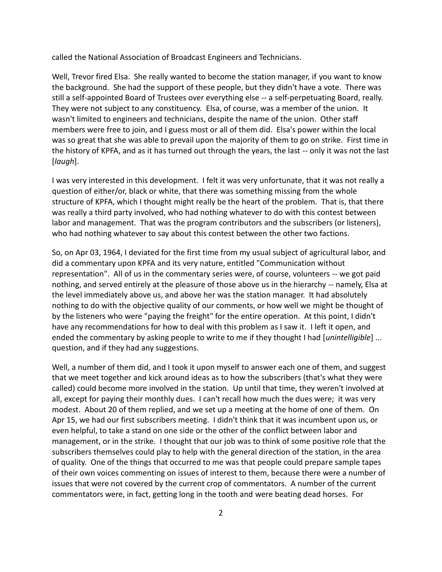called the National Association of Broadcast Engineers and Technicians.

Well, Trevor fired Elsa. She really wanted to become the station manager, if you want to know the background. She had the support of these people, but they didn't have a vote. There was still a self-appointed Board of Trustees over everything else -- a self-perpetuating Board, really. They were not subject to any constituency. Elsa, of course, was a member of the union. It wasn't limited to engineers and technicians, despite the name of the union. Other staff members were free to join, and I guess most or all of them did. Elsa's power within the local was so great that she was able to prevail upon the majority of them to go on strike. First time in the history of KPFA, and as it has turned out through the years, the last -- only it was not the last [*laugh*].

I was very interested in this development. I felt it was very unfortunate, that it was not really a question of either/or, black or white, that there was something missing from the whole structure of KPFA, which I thought might really be the heart of the problem. That is, that there was really a third party involved, who had nothing whatever to do with this contest between labor and management. That was the program contributors and the subscribers (or listeners), who had nothing whatever to say about this contest between the other two factions.

So, on Apr 03, 1964, I deviated for the first time from my usual subject of agricultural labor, and did a commentary upon KPFA and its very nature, entitled "Communication without representation". All of us in the commentary series were, of course, volunteers -- we got paid nothing, and served entirely at the pleasure of those above us in the hierarchy -- namely, Elsa at the level immediately above us, and above her was the station manager. It had absolutely nothing to do with the objective quality of our comments, or how well we might be thought of by the listeners who were "paying the freight" for the entire operation. At this point, I didn't have any recommendations for how to deal with this problem as I saw it. I left it open, and ended the commentary by asking people to write to me if they thought I had [*unintelligible*] ... question, and if they had any suggestions.

Well, a number of them did, and I took it upon myself to answer each one of them, and suggest that we meet together and kick around ideas as to how the subscribers (that's what they were called) could become more involved in the station. Up until that time, they weren't involved at all, except for paying their monthly dues. I can't recall how much the dues were; it was very modest. About 20 of them replied, and we set up a meeting at the home of one of them. On Apr 15, we had our first subscribers meeting. I didn't think that it was incumbent upon us, or even helpful, to take a stand on one side or the other of the conflict between labor and management, or in the strike. I thought that our job was to think of some positive role that the subscribers themselves could play to help with the general direction of the station, in the area of quality. One of the things that occurred to me was that people could prepare sample tapes of their own voices commenting on issues of interest to them, because there were a number of issues that were not covered by the current crop of commentators. A number of the current commentators were, in fact, getting long in the tooth and were beating dead horses. For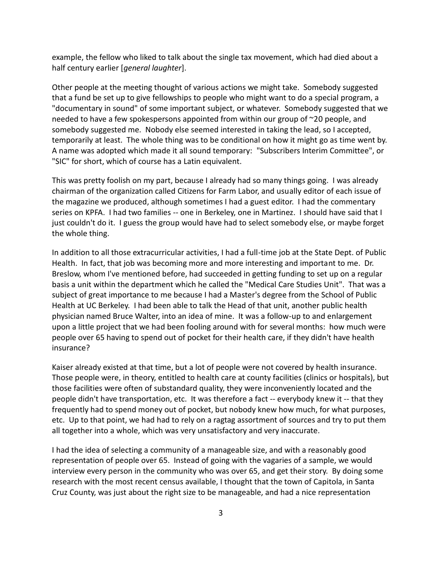example, the fellow who liked to talk about the single tax movement, which had died about a half century earlier [*general laughter*].

Other people at the meeting thought of various actions we might take. Somebody suggested that a fund be set up to give fellowships to people who might want to do a special program, a "documentary in sound" of some important subject, or whatever. Somebody suggested that we needed to have a few spokespersons appointed from within our group of ~20 people, and somebody suggested me. Nobody else seemed interested in taking the lead, so I accepted, temporarily at least. The whole thing was to be conditional on how it might go as time went by. A name was adopted which made it all sound temporary: "Subscribers Interim Committee", or "SIC" for short, which of course has a Latin equivalent.

This was pretty foolish on my part, because I already had so many things going. I was already chairman of the organization called Citizens for Farm Labor, and usually editor of each issue of the magazine we produced, although sometimes I had a guest editor. I had the commentary series on KPFA. I had two families -- one in Berkeley, one in Martinez. I should have said that I just couldn't do it. I guess the group would have had to select somebody else, or maybe forget the whole thing.

In addition to all those extracurricular activities, I had a full-time job at the State Dept. of Public Health. In fact, that job was becoming more and more interesting and important to me. Dr. Breslow, whom I've mentioned before, had succeeded in getting funding to set up on a regular basis a unit within the department which he called the "Medical Care Studies Unit". That was a subject of great importance to me because I had a Master's degree from the School of Public Health at UC Berkeley. I had been able to talk the Head of that unit, another public health physician named Bruce Walter, into an idea of mine. It was a follow-up to and enlargement upon a little project that we had been fooling around with for several months: how much were people over 65 having to spend out of pocket for their health care, if they didn't have health insurance?

Kaiser already existed at that time, but a lot of people were not covered by health insurance. Those people were, in theory, entitled to health care at county facilities (clinics or hospitals), but those facilities were often of substandard quality, they were inconveniently located and the people didn't have transportation, etc. It was therefore a fact -- everybody knew it -- that they frequently had to spend money out of pocket, but nobody knew how much, for what purposes, etc. Up to that point, we had had to rely on a ragtag assortment of sources and try to put them all together into a whole, which was very unsatisfactory and very inaccurate.

I had the idea of selecting a community of a manageable size, and with a reasonably good representation of people over 65. Instead of going with the vagaries of a sample, we would interview every person in the community who was over 65, and get their story. By doing some research with the most recent census available, I thought that the town of Capitola, in Santa Cruz County, was just about the right size to be manageable, and had a nice representation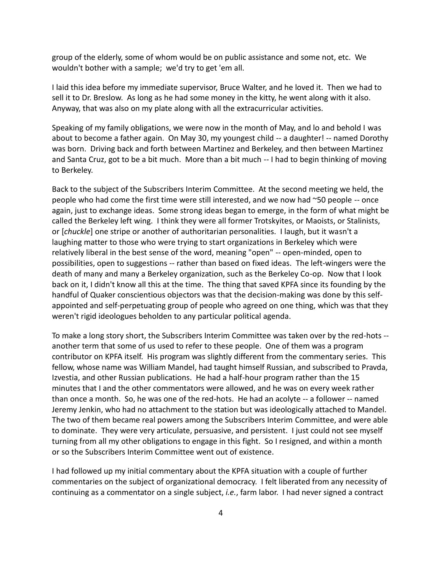group of the elderly, some of whom would be on public assistance and some not, etc. We wouldn't bother with a sample; we'd try to get 'em all.

I laid this idea before my immediate supervisor, Bruce Walter, and he loved it. Then we had to sell it to Dr. Breslow. As long as he had some money in the kitty, he went along with it also. Anyway, that was also on my plate along with all the extracurricular activities.

Speaking of my family obligations, we were now in the month of May, and lo and behold I was about to become a father again. On May 30, my youngest child -- a daughter! -- named Dorothy was born. Driving back and forth between Martinez and Berkeley, and then between Martinez and Santa Cruz, got to be a bit much. More than a bit much -- I had to begin thinking of moving to Berkeley.

Back to the subject of the Subscribers Interim Committee. At the second meeting we held, the people who had come the first time were still interested, and we now had ~50 people -- once again, just to exchange ideas. Some strong ideas began to emerge, in the form of what might be called the Berkeley left wing. I think they were all former Trotskyites, or Maoists, or Stalinists, or [*chuckle*] one stripe or another of authoritarian personalities. I laugh, but it wasn't a laughing matter to those who were trying to start organizations in Berkeley which were relatively liberal in the best sense of the word, meaning "open" -- open-minded, open to possibilities, open to suggestions -- rather than based on fixed ideas. The left-wingers were the death of many and many a Berkeley organization, such as the Berkeley Co-op. Now that I look back on it, I didn't know all this at the time. The thing that saved KPFA since its founding by the handful of Quaker conscientious objectors was that the decision-making was done by this self appointed and self-perpetuating group of people who agreed on one thing, which was that they weren't rigid ideologues beholden to any particular political agenda.

To make a long story short, the Subscribers Interim Committee was taken over by the red-hots - another term that some of us used to refer to these people. One of them was a program contributor on KPFA itself. His program was slightly different from the commentary series. This fellow, whose name was William Mandel, had taught himself Russian, and subscribed to Pravda, Izvestia, and other Russian publications. He had a half-hour program rather than the 15 minutes that I and the other commentators were allowed, and he was on every week rather than once a month. So, he was one of the red-hots. He had an acolyte -- a follower -- named Jeremy Jenkin, who had no attachment to the station but was ideologically attached to Mandel. The two of them became real powers among the Subscribers Interim Committee, and were able to dominate. They were very articulate, persuasive, and persistent. I just could not see myself turning from all my other obligations to engage in this fight. So I resigned, and within a month or so the Subscribers Interim Committee went out of existence.

I had followed up my initial commentary about the KPFA situation with a couple of further commentaries on the subject of organizational democracy. I felt liberated from any necessity of continuing as a commentator on a single subject, *i.e.*, farm labor. I had never signed a contract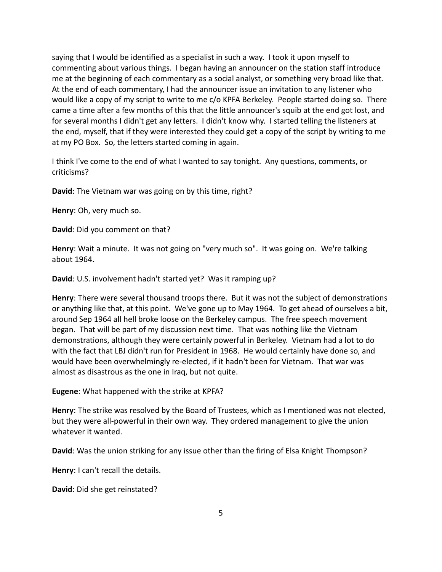saying that I would be identified as a specialist in such a way. I took it upon myself to commenting about various things. I began having an announcer on the station staff introduce me at the beginning of each commentary as a social analyst, or something very broad like that. At the end of each commentary, I had the announcer issue an invitation to any listener who would like a copy of my script to write to me c/o KPFA Berkeley. People started doing so. There came a time after a few months of this that the little announcer's squib at the end got lost, and for several months I didn't get any letters. I didn't know why. I started telling the listeners at the end, myself, that if they were interested they could get a copy of the script by writing to me at my PO Box. So, the letters started coming in again.

I think I've come to the end of what I wanted to say tonight. Any questions, comments, or criticisms?

**David**: The Vietnam war was going on by this time, right?

**Henry**: Oh, very much so.

**David**: Did you comment on that?

**Henry**: Wait a minute. It was not going on "very much so". It was going on. We're talking about 1964.

**David**: U.S. involvement hadn't started yet? Was it ramping up?

**Henry**: There were several thousand troops there. But it was not the subject of demonstrations or anything like that, at this point. We've gone up to May 1964. To get ahead of ourselves a bit, around Sep 1964 all hell broke loose on the Berkeley campus. The free speech movement began. That will be part of my discussion next time. That was nothing like the Vietnam demonstrations, although they were certainly powerful in Berkeley. Vietnam had a lot to do with the fact that LBJ didn't run for President in 1968. He would certainly have done so, and would have been overwhelmingly re-elected, if it hadn't been for Vietnam. That war was almost as disastrous as the one in Iraq, but not quite.

**Eugene**: What happened with the strike at KPFA?

**Henry**: The strike was resolved by the Board of Trustees, which as I mentioned was not elected, but they were all-powerful in their own way. They ordered management to give the union whatever it wanted.

**David**: Was the union striking for any issue other than the firing of Elsa Knight Thompson?

**Henry**: I can't recall the details.

**David**: Did she get reinstated?